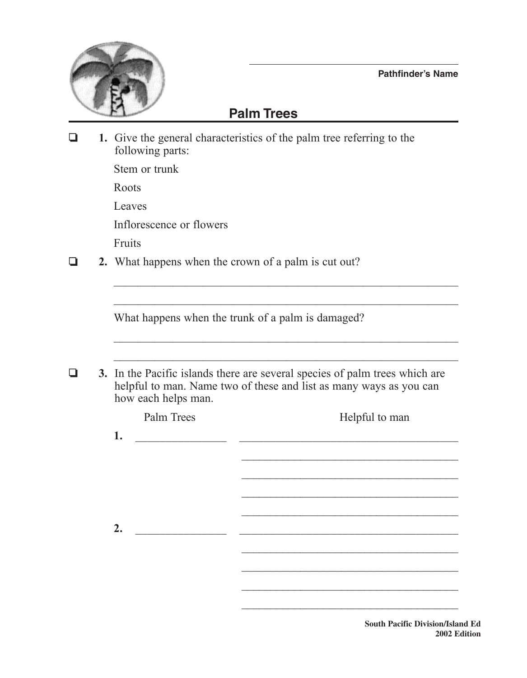

## **Pathfinder's Name**

## **Palm Trees**

❏ **1.** Give the general characteristics of the palm tree referring to the following parts:

Stem or trunk

Roots

Leaves

Inflorescence or flowers

Fruits

❏ **2.** What happens when the crown of a palm is cut out?

What happens when the trunk of a palm is damaged?

|  | 3. In the Pacific islands there are several species of palm trees which are |
|--|-----------------------------------------------------------------------------|
|  | helpful to man. Name two of these and list as many ways as you can          |
|  | how each helps man.                                                         |

 $\mathcal{L}_\text{max}$  and  $\mathcal{L}_\text{max}$  and  $\mathcal{L}_\text{max}$  and  $\mathcal{L}_\text{max}$  and  $\mathcal{L}_\text{max}$  and  $\mathcal{L}_\text{max}$ 

 $\mathcal{L}_\text{max}$  and  $\mathcal{L}_\text{max}$  and  $\mathcal{L}_\text{max}$  and  $\mathcal{L}_\text{max}$  and  $\mathcal{L}_\text{max}$  and  $\mathcal{L}_\text{max}$ 

| Helpful to man |  |
|----------------|--|
|                |  |
|                |  |
|                |  |
|                |  |
|                |  |
|                |  |
|                |  |
|                |  |

 $\mathcal{L}_\text{max}$  , and the set of the set of the set of the set of the set of the set of the set of the set of the set of the set of the set of the set of the set of the set of the set of the set of the set of the set of the